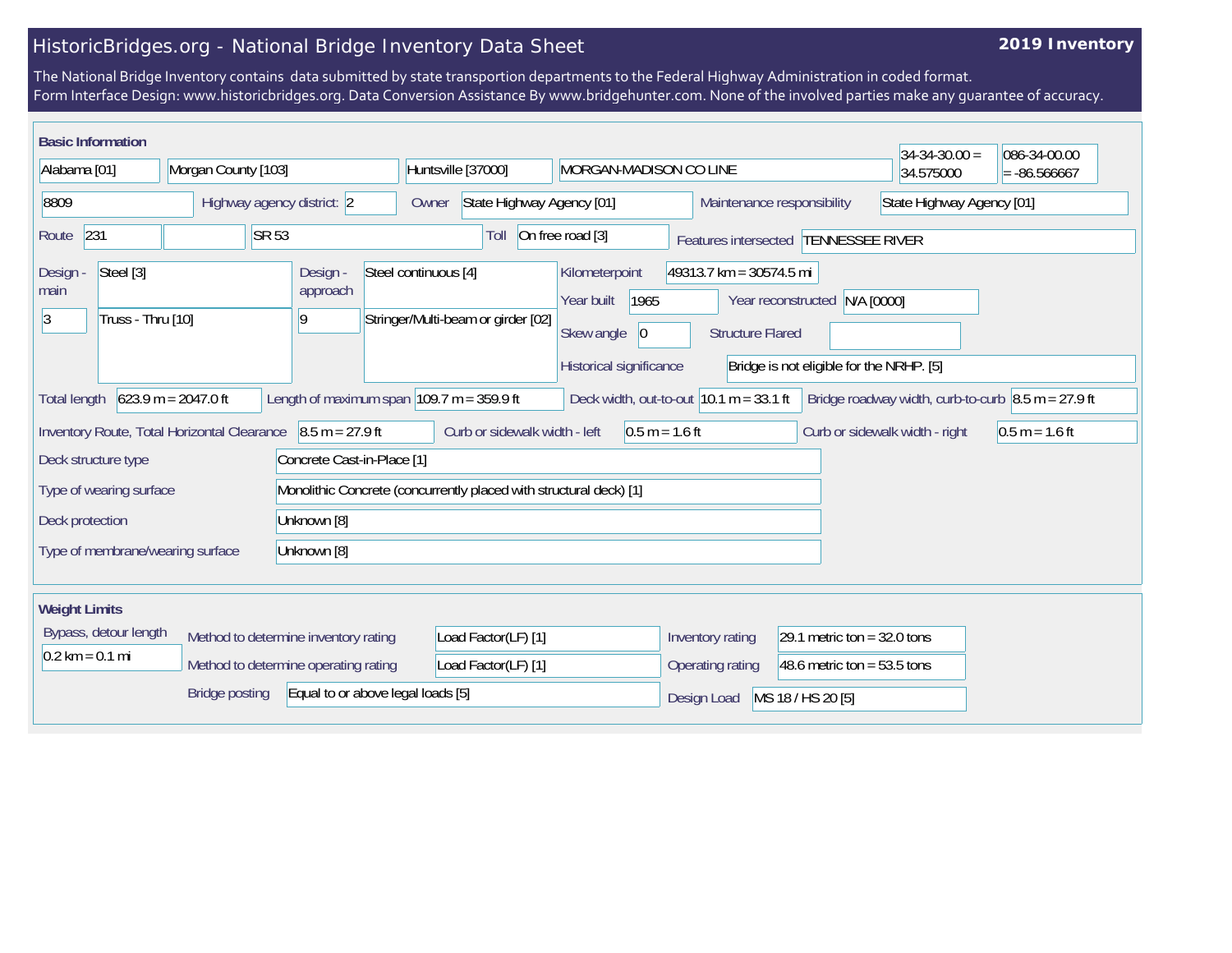## HistoricBridges.org - National Bridge Inventory Data Sheet

## **2019 Inventory**

The National Bridge Inventory contains data submitted by state transportion departments to the Federal Highway Administration in coded format. Form Interface Design: www.historicbridges.org. Data Conversion Assistance By www.bridgehunter.com. None of the involved parties make any guarantee of accuracy.

| <b>Basic Information</b>                                                                                                                                                                                                                 |       |                                                                    |                                                            |                                                          |                                                    |                                                         | $34 - 34 - 30.00 =$ | 086-34-00.00   |
|------------------------------------------------------------------------------------------------------------------------------------------------------------------------------------------------------------------------------------------|-------|--------------------------------------------------------------------|------------------------------------------------------------|----------------------------------------------------------|----------------------------------------------------|---------------------------------------------------------|---------------------|----------------|
| Alabama [01]<br>Morgan County [103]                                                                                                                                                                                                      |       |                                                                    | Huntsville [37000]<br>MORGAN-MADISON CO LINE               |                                                          |                                                    |                                                         | 34.575000           | $= -86.566667$ |
| 8809<br>Highway agency district: 2                                                                                                                                                                                                       |       |                                                                    | State Highway Agency [01]<br>Owner                         |                                                          |                                                    | State Highway Agency [01]<br>Maintenance responsibility |                     |                |
| 231<br>Route                                                                                                                                                                                                                             | SR 53 |                                                                    | Toll                                                       | On free road [3]                                         |                                                    | Features intersected TENNESSEE RIVER                    |                     |                |
| Steel [3]<br>Design -<br>main<br>Truss - Thru [10]<br> 3                                                                                                                                                                                 |       | Design -<br>approach<br>19                                         | Steel continuous [4]<br>Stringer/Multi-beam or girder [02] | Kilometerpoint<br>1965<br>Year built<br>Skew angle<br> 0 | 49313.7 km = 30574.5 mi<br><b>Structure Flared</b> | Year reconstructed N/A [0000]                           |                     |                |
|                                                                                                                                                                                                                                          |       |                                                                    |                                                            | Historical significance                                  |                                                    | Bridge is not eligible for the NRHP. [5]                |                     |                |
| $623.9 m = 2047.0 ft$<br>Length of maximum span $ 109.7 \text{ m} = 359.9 \text{ ft} $<br>Deck width, out-to-out $10.1 m = 33.1 ft$<br>Bridge roadway width, curb-to-curb $\vert 8.5 \text{ m} = 27.9 \text{ ft}$<br><b>Total length</b> |       |                                                                    |                                                            |                                                          |                                                    |                                                         |                     |                |
| Curb or sidewalk width - left<br>$0.5 m = 1.6 ft$<br>Inventory Route, Total Horizontal Clearance<br>$8.5 m = 27.9 ft$<br>Curb or sidewalk width - right<br>$0.5 m = 1.6 ft$                                                              |       |                                                                    |                                                            |                                                          |                                                    |                                                         |                     |                |
| Deck structure type                                                                                                                                                                                                                      |       | Concrete Cast-in-Place [1]                                         |                                                            |                                                          |                                                    |                                                         |                     |                |
| Type of wearing surface                                                                                                                                                                                                                  |       | Monolithic Concrete (concurrently placed with structural deck) [1] |                                                            |                                                          |                                                    |                                                         |                     |                |
| Deck protection<br>Unknown [8]                                                                                                                                                                                                           |       |                                                                    |                                                            |                                                          |                                                    |                                                         |                     |                |
| Type of membrane/wearing surface<br>Unknown [8]                                                                                                                                                                                          |       |                                                                    |                                                            |                                                          |                                                    |                                                         |                     |                |
| <b>Weight Limits</b>                                                                                                                                                                                                                     |       |                                                                    |                                                            |                                                          |                                                    |                                                         |                     |                |
| Bypass, detour length<br>Method to determine inventory rating                                                                                                                                                                            |       | Load Factor(LF) [1]                                                |                                                            | Inventory rating                                         | 29.1 metric ton = $32.0$ tons                      |                                                         |                     |                |
| $0.2 \text{ km} = 0.1 \text{ mi}$                                                                                                                                                                                                        |       | Method to determine operating rating                               | Load Factor(LF) [1]                                        |                                                          | Operating rating                                   | 48.6 metric ton = $53.5$ tons                           |                     |                |
| Equal to or above legal loads [5]<br><b>Bridge posting</b>                                                                                                                                                                               |       |                                                                    |                                                            |                                                          | Design Load                                        | MS 18 / HS 20 [5]                                       |                     |                |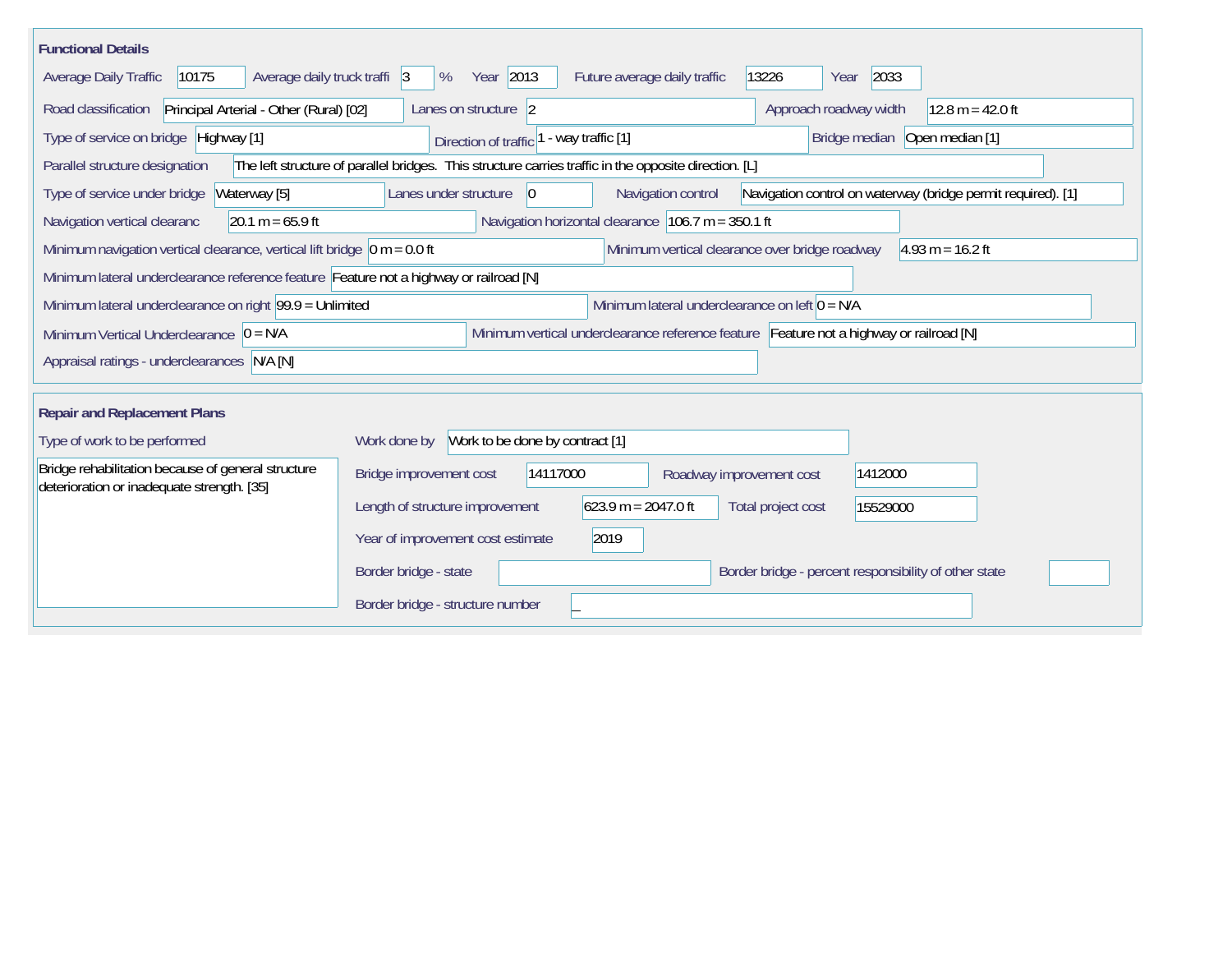| <b>Functional Details</b>                                                                                                             |                                                                                                       |                                                      |                                                       |                                                              |  |  |  |
|---------------------------------------------------------------------------------------------------------------------------------------|-------------------------------------------------------------------------------------------------------|------------------------------------------------------|-------------------------------------------------------|--------------------------------------------------------------|--|--|--|
| 10175<br>Average daily truck traffi 3<br>Average Daily Traffic                                                                        | Year 2013<br>%                                                                                        | Future average daily traffic                         | 2033<br>13226<br>Year                                 |                                                              |  |  |  |
| Road classification<br>Principal Arterial - Other (Rural) [02]                                                                        | Lanes on structure 2                                                                                  |                                                      | Approach roadway width                                | $12.8 m = 42.0 ft$                                           |  |  |  |
| Type of service on bridge Highway [1]                                                                                                 | Direction of traffic                                                                                  | - way traffic [1]                                    |                                                       | Bridge median Open median [1]                                |  |  |  |
| Parallel structure designation                                                                                                        | The left structure of parallel bridges. This structure carries traffic in the opposite direction. [L] |                                                      |                                                       |                                                              |  |  |  |
| Type of service under bridge<br>Waterway [5]                                                                                          | Lanes under structure<br>$\overline{0}$                                                               | Navigation control                                   |                                                       | Navigation control on waterway (bridge permit required). [1] |  |  |  |
| $20.1 m = 65.9 ft$<br>Navigation vertical clearanc                                                                                    |                                                                                                       | Navigation horizontal clearance $106.7$ m = 350.1 ft |                                                       |                                                              |  |  |  |
| Minimum navigation vertical clearance, vertical lift bridge $\vert$ 0 m = 0.0 ft                                                      |                                                                                                       | Minimum vertical clearance over bridge roadway       |                                                       | $ 4.93 \text{ m} = 16.2 \text{ ft}$                          |  |  |  |
| Minimum lateral underclearance reference feature Feature not a highway or railroad [N]                                                |                                                                                                       |                                                      |                                                       |                                                              |  |  |  |
| Minimum lateral underclearance on left $0 = N/A$<br>Minimum lateral underclearance on right 99.9 = Unlimited                          |                                                                                                       |                                                      |                                                       |                                                              |  |  |  |
| Minimum vertical underclearance reference feature Feature not a highway or railroad [N]<br>Minimum Vertical Underclearance $ 0 = N/A$ |                                                                                                       |                                                      |                                                       |                                                              |  |  |  |
| Appraisal ratings - underclearances N/A [N]                                                                                           |                                                                                                       |                                                      |                                                       |                                                              |  |  |  |
|                                                                                                                                       |                                                                                                       |                                                      |                                                       |                                                              |  |  |  |
| <b>Repair and Replacement Plans</b>                                                                                                   |                                                                                                       |                                                      |                                                       |                                                              |  |  |  |
| Type of work to be performed                                                                                                          | Work to be done by contract [1]<br>Work done by                                                       |                                                      |                                                       |                                                              |  |  |  |
| Bridge rehabilitation because of general structure<br>deterioration or inadequate strength. [35]                                      | Bridge improvement cost<br>14117000                                                                   | Roadway improvement cost                             | 1412000                                               |                                                              |  |  |  |
|                                                                                                                                       | Length of structure improvement                                                                       | $623.9 m = 2047.0 ft$                                | Total project cost<br>15529000                        |                                                              |  |  |  |
|                                                                                                                                       | 2019<br>Year of improvement cost estimate                                                             |                                                      |                                                       |                                                              |  |  |  |
|                                                                                                                                       | Border bridge - state                                                                                 |                                                      | Border bridge - percent responsibility of other state |                                                              |  |  |  |
|                                                                                                                                       | Border bridge - structure number                                                                      |                                                      |                                                       |                                                              |  |  |  |